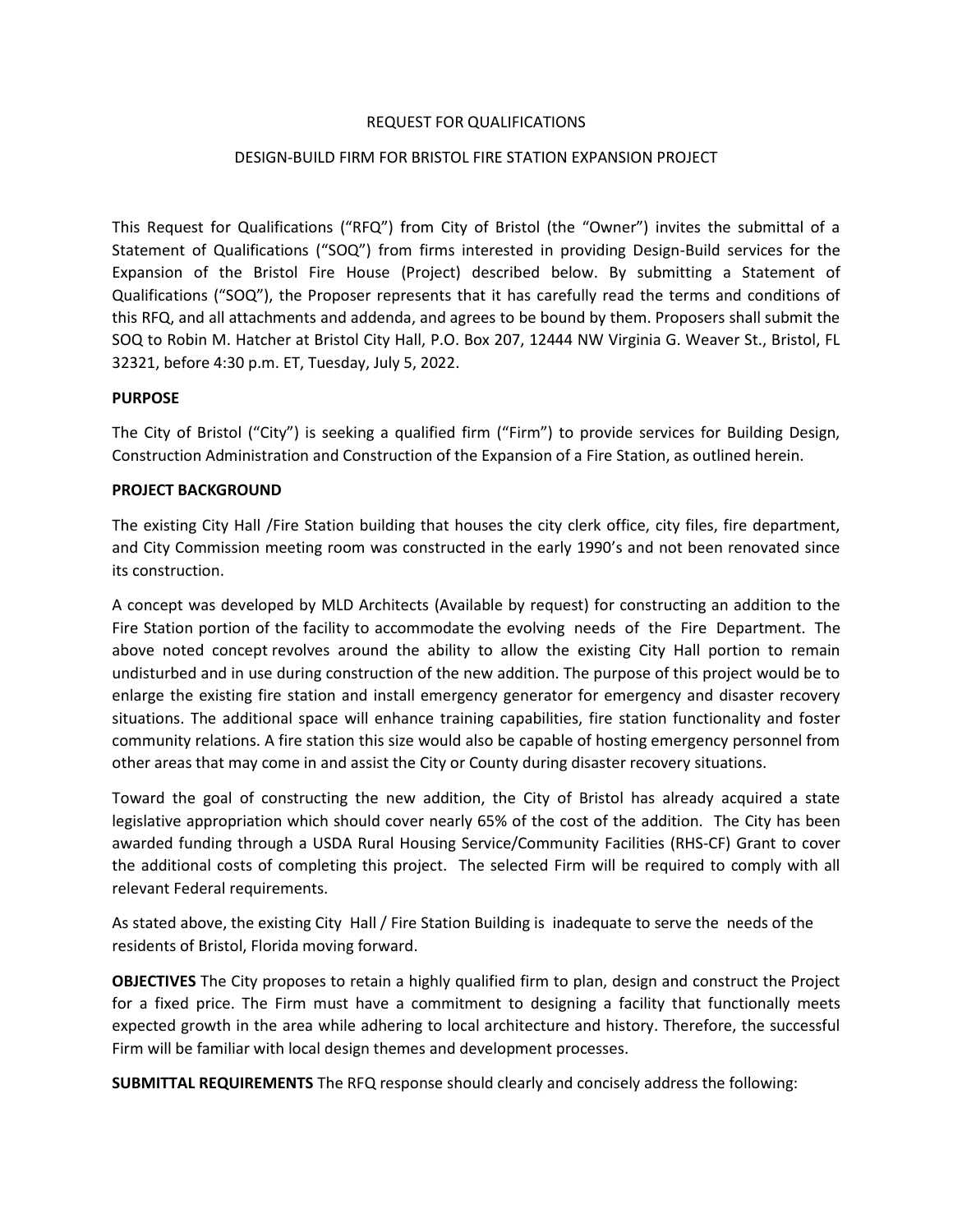### REQUEST FOR QUALIFICATIONS

# DESIGN-BUILD FIRM FOR BRISTOL FIRE STATION EXPANSION PROJECT

This Request for Qualifications ("RFQ") from City of Bristol (the "Owner") invites the submittal of a Statement of Qualifications ("SOQ") from firms interested in providing Design-Build services for the Expansion of the Bristol Fire House (Project) described below. By submitting a Statement of Qualifications ("SOQ"), the Proposer represents that it has carefully read the terms and conditions of this RFQ, and all attachments and addenda, and agrees to be bound by them. Proposers shall submit the SOQ to Robin M. Hatcher at Bristol City Hall, P.O. Box 207, 12444 NW Virginia G. Weaver St., Bristol, FL 32321, before 4:30 p.m. ET, Tuesday, July 5, 2022.

### **PURPOSE**

The City of Bristol ("City") is seeking a qualified firm ("Firm") to provide services for Building Design, Construction Administration and Construction of the Expansion of a Fire Station, as outlined herein.

### **PROJECT BACKGROUND**

The existing City Hall /Fire Station building that houses the city clerk office, city files, fire department, and City Commission meeting room was constructed in the early 1990's and not been renovated since its construction.

A concept was developed by MLD Architects (Available by request) for constructing an addition to the Fire Station portion of the facility to accommodate the evolving needs of the Fire Department. The above noted concept revolves around the ability to allow the existing City Hall portion to remain undisturbed and in use during construction of the new addition. The purpose of this project would be to enlarge the existing fire station and install emergency generator for emergency and disaster recovery situations. The additional space will enhance training capabilities, fire station functionality and foster community relations. A fire station this size would also be capable of hosting emergency personnel from other areas that may come in and assist the City or County during disaster recovery situations.

Toward the goal of constructing the new addition, the City of Bristol has already acquired a state legislative appropriation which should cover nearly 65% of the cost of the addition. The City has been awarded funding through a USDA Rural Housing Service/Community Facilities (RHS-CF) Grant to cover the additional costs of completing this project. The selected Firm will be required to comply with all relevant Federal requirements.

As stated above, the existing City Hall / Fire Station Building is inadequate to serve the needs of the residents of Bristol, Florida moving forward.

**OBJECTIVES** The City proposes to retain a highly qualified firm to plan, design and construct the Project for a fixed price. The Firm must have a commitment to designing a facility that functionally meets expected growth in the area while adhering to local architecture and history. Therefore, the successful Firm will be familiar with local design themes and development processes.

**SUBMITTAL REQUIREMENTS** The RFQ response should clearly and concisely address the following: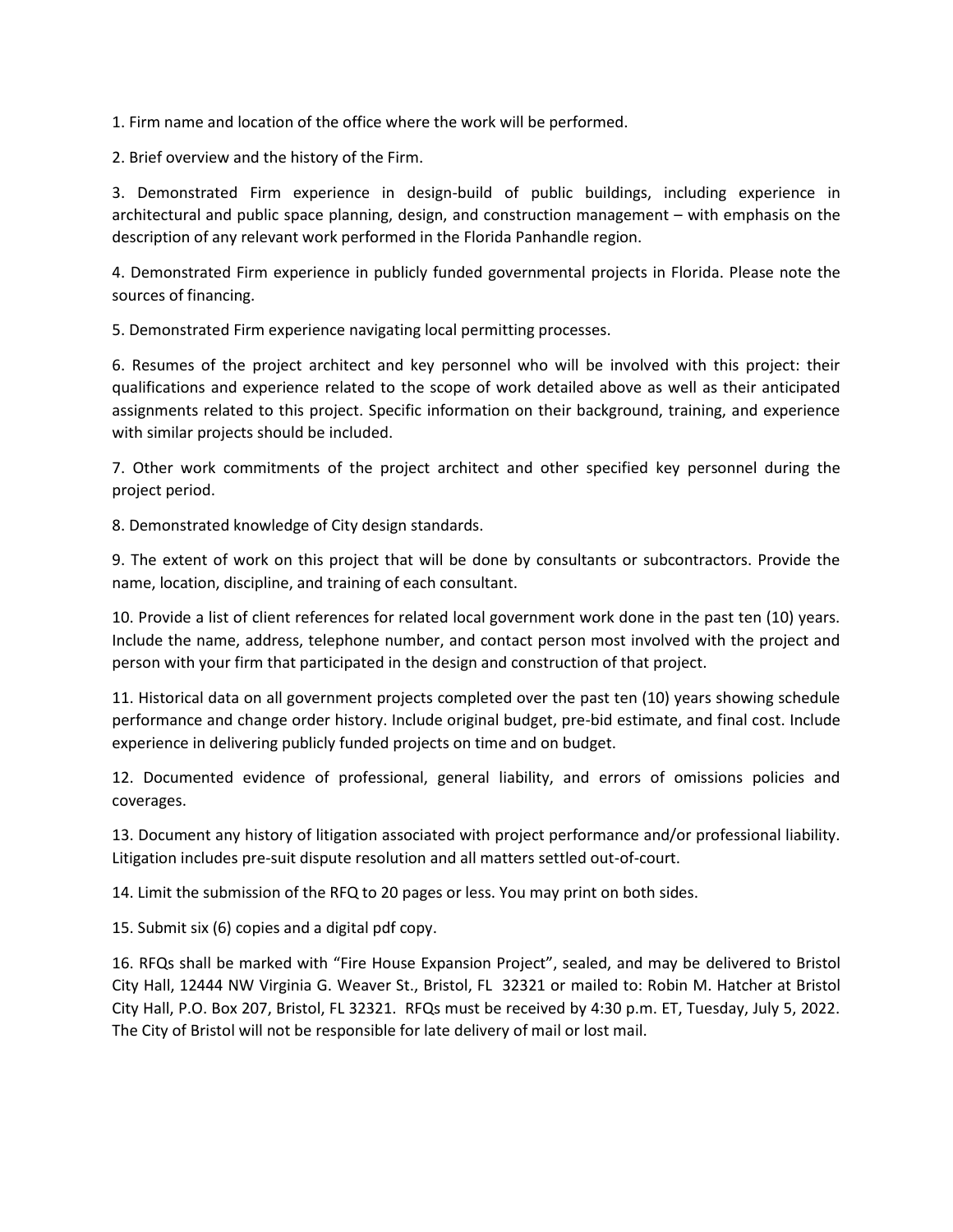1. Firm name and location of the office where the work will be performed.

2. Brief overview and the history of the Firm.

3. Demonstrated Firm experience in design-build of public buildings, including experience in architectural and public space planning, design, and construction management – with emphasis on the description of any relevant work performed in the Florida Panhandle region.

4. Demonstrated Firm experience in publicly funded governmental projects in Florida. Please note the sources of financing.

5. Demonstrated Firm experience navigating local permitting processes.

6. Resumes of the project architect and key personnel who will be involved with this project: their qualifications and experience related to the scope of work detailed above as well as their anticipated assignments related to this project. Specific information on their background, training, and experience with similar projects should be included.

7. Other work commitments of the project architect and other specified key personnel during the project period.

8. Demonstrated knowledge of City design standards.

9. The extent of work on this project that will be done by consultants or subcontractors. Provide the name, location, discipline, and training of each consultant.

10. Provide a list of client references for related local government work done in the past ten (10) years. Include the name, address, telephone number, and contact person most involved with the project and person with your firm that participated in the design and construction of that project.

11. Historical data on all government projects completed over the past ten (10) years showing schedule performance and change order history. Include original budget, pre-bid estimate, and final cost. Include experience in delivering publicly funded projects on time and on budget.

12. Documented evidence of professional, general liability, and errors of omissions policies and coverages.

13. Document any history of litigation associated with project performance and/or professional liability. Litigation includes pre-suit dispute resolution and all matters settled out-of-court.

14. Limit the submission of the RFQ to 20 pages or less. You may print on both sides.

15. Submit six (6) copies and a digital pdf copy.

16. RFQs shall be marked with "Fire House Expansion Project", sealed, and may be delivered to Bristol City Hall, 12444 NW Virginia G. Weaver St., Bristol, FL 32321 or mailed to: Robin M. Hatcher at Bristol City Hall, P.O. Box 207, Bristol, FL 32321. RFQs must be received by 4:30 p.m. ET, Tuesday, July 5, 2022. The City of Bristol will not be responsible for late delivery of mail or lost mail.